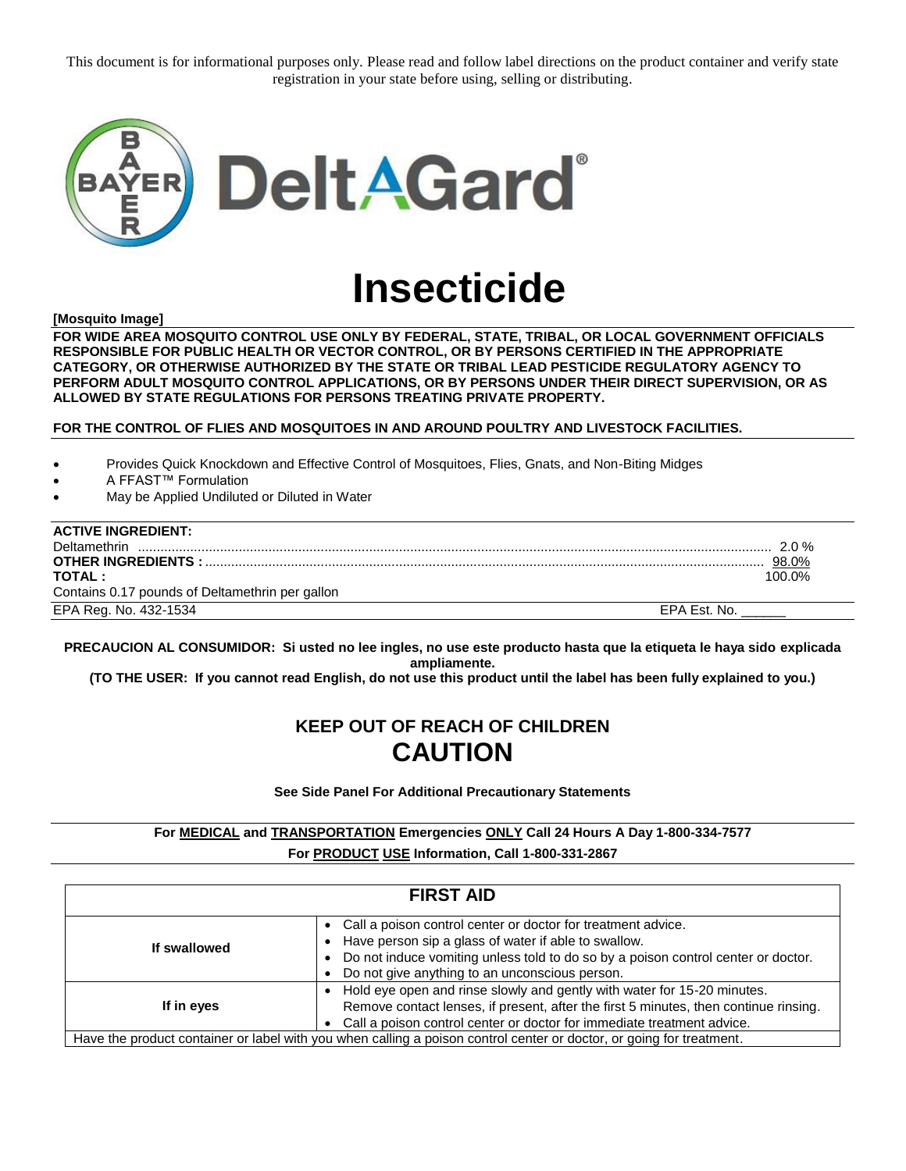This document is for informational purposes only. Please read and follow label directions on the product container and verify state registration in your state before using, selling or distributing.



# **Insecticide**

**[Mosquito Image]** 

**FOR WIDE AREA MOSQUITO CONTROL USE ONLY BY FEDERAL, STATE, TRIBAL, OR LOCAL GOVERNMENT OFFICIALS RESPONSIBLE FOR PUBLIC HEALTH OR VECTOR CONTROL, OR BY PERSONS CERTIFIED IN THE APPROPRIATE CATEGORY, OR OTHERWISE AUTHORIZED BY THE STATE OR TRIBAL LEAD PESTICIDE REGULATORY AGENCY TO PERFORM ADULT MOSQUITO CONTROL APPLICATIONS, OR BY PERSONS UNDER THEIR DIRECT SUPERVISION, OR AS ALLOWED BY STATE REGULATIONS FOR PERSONS TREATING PRIVATE PROPERTY.** 

**FOR THE CONTROL OF FLIES AND MOSQUITOES IN AND AROUND POULTRY AND LIVESTOCK FACILITIES.**

Provides Quick Knockdown and Effective Control of Mosquitoes, Flies, Gnats, and Non-Biting Midges

- A FFAST™ Formulation
- May be Applied Undiluted or Diluted in Water

| <b>ACTIVE INGREDIENT:</b>                       |              |
|-------------------------------------------------|--------------|
| Deltamethrin                                    | $2.0 \%$     |
| <b>OTHER INGREDIENTS:</b>                       | 98.0%        |
| <b>TOTAL:</b>                                   | 100.0%       |
| Contains 0.17 pounds of Deltamethrin per gallon |              |
| EPA Reg. No. 432-1534                           | EPA Est. No. |

**PRECAUCION AL CONSUMIDOR: Si usted no lee ingles, no use este producto hasta que la etiqueta le haya sido explicada ampliamente.**

**(TO THE USER: If you cannot read English, do not use this product until the label has been fully explained to you.)**

# **KEEP OUT OF REACH OF CHILDREN CAUTION**

**See Side Panel For Additional Precautionary Statements**

**For MEDICAL and TRANSPORTATION Emergencies ONLY Call 24 Hours A Day 1-800-334-7577 For PRODUCT USE Information, Call 1-800-331-2867**

| <b>FIRST AID</b> |                                                                                                                                                                                                                                                               |  |  |  |
|------------------|---------------------------------------------------------------------------------------------------------------------------------------------------------------------------------------------------------------------------------------------------------------|--|--|--|
| If swallowed     | • Call a poison control center or doctor for treatment advice.<br>Have person sip a glass of water if able to swallow.<br>Do not induce vomiting unless told to do so by a poison control center or doctor.<br>Do not give anything to an unconscious person. |  |  |  |
| If in eyes       | Hold eye open and rinse slowly and gently with water for 15-20 minutes.<br>Remove contact lenses, if present, after the first 5 minutes, then continue rinsing.<br>Call a poison control center or doctor for immediate treatment advice.                     |  |  |  |
|                  | Have the product container or label with you when calling a poison control center or doctor, or going for treatment.                                                                                                                                          |  |  |  |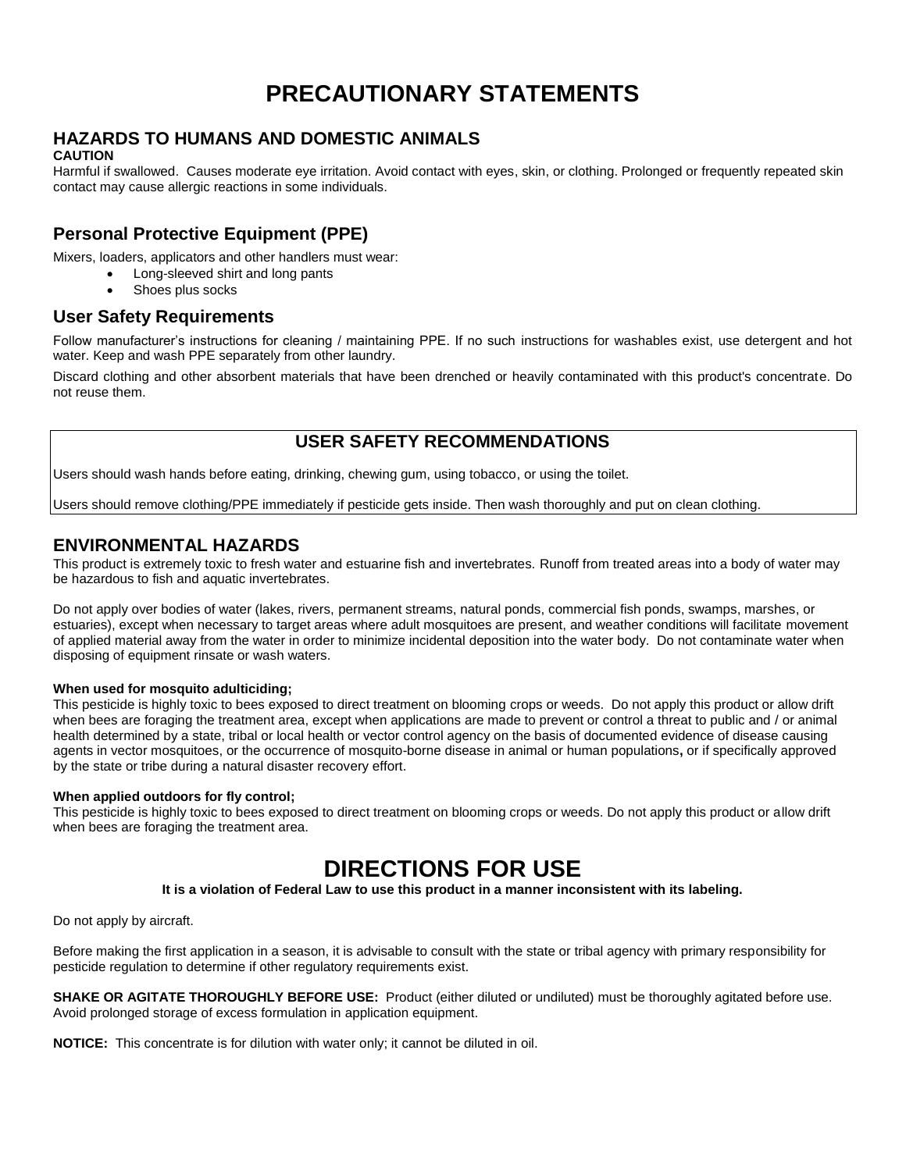# **PRECAUTIONARY STATEMENTS**

# **HAZARDS TO HUMANS AND DOMESTIC ANIMALS**

#### **CAUTION**

Harmful if swallowed. Causes moderate eye irritation. Avoid contact with eyes, skin, or clothing. Prolonged or frequently repeated skin contact may cause allergic reactions in some individuals.

# **Personal Protective Equipment (PPE)**

Mixers, loaders, applicators and other handlers must wear:

- Long-sleeved shirt and long pants
- Shoes plus socks

# **User Safety Requirements**

Follow manufacturer's instructions for cleaning / maintaining PPE. If no such instructions for washables exist, use detergent and hot water. Keep and wash PPE separately from other laundry.

Discard clothing and other absorbent materials that have been drenched or heavily contaminated with this product's concentrate. Do not reuse them.

# **USER SAFETY RECOMMENDATIONS**

Users should wash hands before eating, drinking, chewing gum, using tobacco, or using the toilet.

Users should remove clothing/PPE immediately if pesticide gets inside. Then wash thoroughly and put on clean clothing.

# **ENVIRONMENTAL HAZARDS**

This product is extremely toxic to fresh water and estuarine fish and invertebrates. Runoff from treated areas into a body of water may be hazardous to fish and aquatic invertebrates.

Do not apply over bodies of water (lakes, rivers, permanent streams, natural ponds, commercial fish ponds, swamps, marshes, or estuaries), except when necessary to target areas where adult mosquitoes are present, and weather conditions will facilitate movement of applied material away from the water in order to minimize incidental deposition into the water body. Do not contaminate water when disposing of equipment rinsate or wash waters.

#### **When used for mosquito adulticiding;**

This pesticide is highly toxic to bees exposed to direct treatment on blooming crops or weeds. Do not apply this product or allow drift when bees are foraging the treatment area, except when applications are made to prevent or control a threat to public and / or animal health determined by a state, tribal or local health or vector control agency on the basis of documented evidence of disease causing agents in vector mosquitoes, or the occurrence of mosquito-borne disease in animal or human populations**,** or if specifically approved by the state or tribe during a natural disaster recovery effort.

#### **When applied outdoors for fly control;**

This pesticide is highly toxic to bees exposed to direct treatment on blooming crops or weeds. Do not apply this product or allow drift when bees are foraging the treatment area.

# **DIRECTIONS FOR USE**

**It is a violation of Federal Law to use this product in a manner inconsistent with its labeling.**

Do not apply by aircraft.

Before making the first application in a season, it is advisable to consult with the state or tribal agency with primary responsibility for pesticide regulation to determine if other regulatory requirements exist.

**SHAKE OR AGITATE THOROUGHLY BEFORE USE:** Product (either diluted or undiluted) must be thoroughly agitated before use. Avoid prolonged storage of excess formulation in application equipment.

**NOTICE:** This concentrate is for dilution with water only; it cannot be diluted in oil.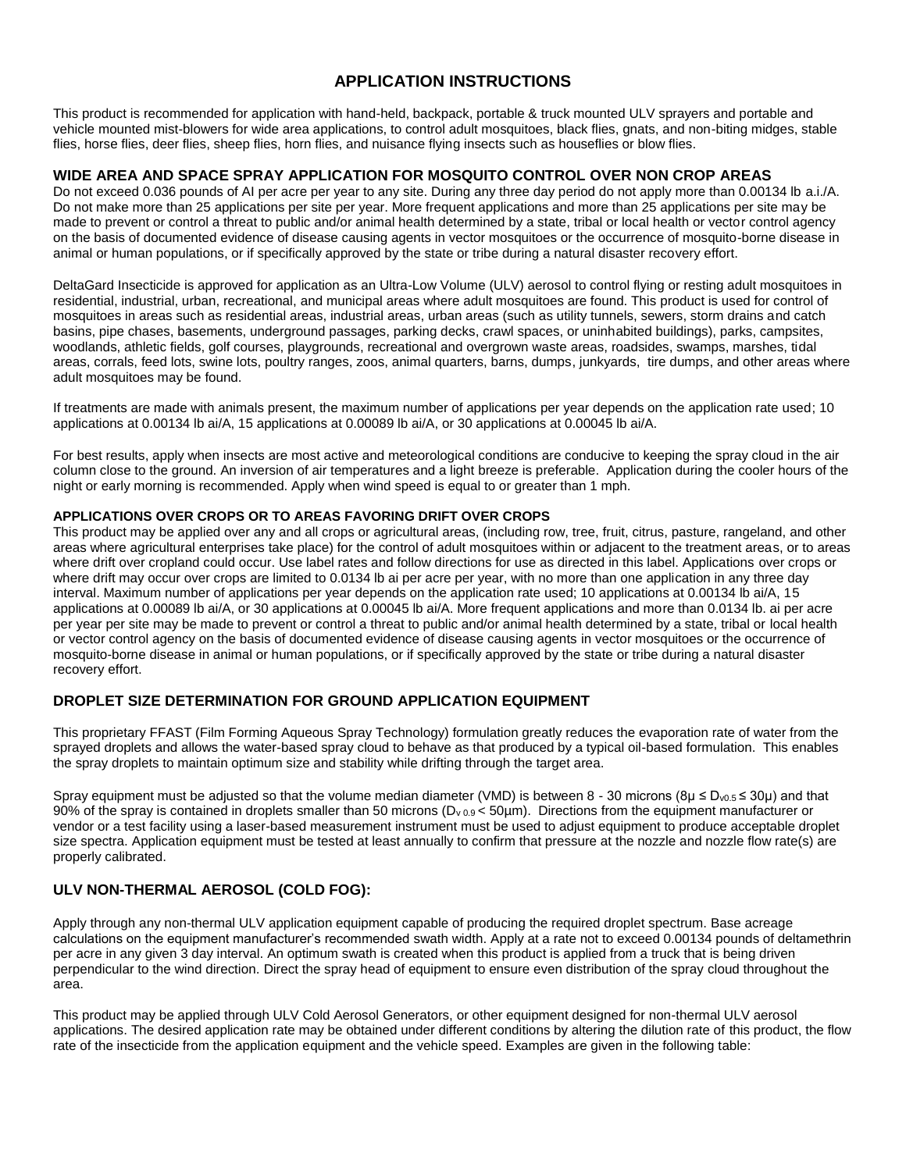# **APPLICATION INSTRUCTIONS**

This product is recommended for application with hand-held, backpack, portable & truck mounted ULV sprayers and portable and vehicle mounted mist-blowers for wide area applications, to control adult mosquitoes, black flies, gnats, and non-biting midges, stable flies, horse flies, deer flies, sheep flies, horn flies, and nuisance flying insects such as houseflies or blow flies.

## **WIDE AREA AND SPACE SPRAY APPLICATION FOR MOSQUITO CONTROL OVER NON CROP AREAS**

Do not exceed 0.036 pounds of AI per acre per year to any site. During any three day period do not apply more than 0.00134 lb a.i./A. Do not make more than 25 applications per site per year. More frequent applications and more than 25 applications per site may be made to prevent or control a threat to public and/or animal health determined by a state, tribal or local health or vector control agency on the basis of documented evidence of disease causing agents in vector mosquitoes or the occurrence of mosquito-borne disease in animal or human populations, or if specifically approved by the state or tribe during a natural disaster recovery effort.

DeltaGard Insecticide is approved for application as an Ultra-Low Volume (ULV) aerosol to control flying or resting adult mosquitoes in residential, industrial, urban, recreational, and municipal areas where adult mosquitoes are found. This product is used for control of mosquitoes in areas such as residential areas, industrial areas, urban areas (such as utility tunnels, sewers, storm drains and catch basins, pipe chases, basements, underground passages, parking decks, crawl spaces, or uninhabited buildings), parks, campsites, woodlands, athletic fields, golf courses, playgrounds, recreational and overgrown waste areas, roadsides, swamps, marshes, tidal areas, corrals, feed lots, swine lots, poultry ranges, zoos, animal quarters, barns, dumps, junkyards, tire dumps, and other areas where adult mosquitoes may be found.

If treatments are made with animals present, the maximum number of applications per year depends on the application rate used; 10 applications at 0.00134 lb ai/A, 15 applications at 0.00089 lb ai/A, or 30 applications at 0.00045 lb ai/A.

For best results, apply when insects are most active and meteorological conditions are conducive to keeping the spray cloud in the air column close to the ground. An inversion of air temperatures and a light breeze is preferable. Application during the cooler hours of the night or early morning is recommended. Apply when wind speed is equal to or greater than 1 mph.

#### **APPLICATIONS OVER CROPS OR TO AREAS FAVORING DRIFT OVER CROPS**

This product may be applied over any and all crops or agricultural areas, (including row, tree, fruit, citrus, pasture, rangeland, and other areas where agricultural enterprises take place) for the control of adult mosquitoes within or adjacent to the treatment areas, or to areas where drift over cropland could occur. Use label rates and follow directions for use as directed in this label. Applications over crops or where drift may occur over crops are limited to 0.0134 lb ai per acre per year, with no more than one application in any three day interval. Maximum number of applications per year depends on the application rate used; 10 applications at 0.00134 lb ai/A, 15 applications at 0.00089 lb ai/A, or 30 applications at 0.00045 lb ai/A. More frequent applications and more than 0.0134 lb. ai per acre per year per site may be made to prevent or control a threat to public and/or animal health determined by a state, tribal or local health or vector control agency on the basis of documented evidence of disease causing agents in vector mosquitoes or the occurrence of mosquito-borne disease in animal or human populations, or if specifically approved by the state or tribe during a natural disaster recovery effort.

# **DROPLET SIZE DETERMINATION FOR GROUND APPLICATION EQUIPMENT**

This proprietary FFAST (Film Forming Aqueous Spray Technology) formulation greatly reduces the evaporation rate of water from the sprayed droplets and allows the water-based spray cloud to behave as that produced by a typical oil-based formulation. This enables the spray droplets to maintain optimum size and stability while drifting through the target area.

Spray equipment must be adjusted so that the volume median diameter (VMD) is between 8 - 30 microns ( $8\mu \le D_{v0.5} \le 30\mu$ ) and that 90% of the spray is contained in droplets smaller than 50 microns (D<sub>v 0.9</sub> < 50µm). Directions from the equipment manufacturer or vendor or a test facility using a laser-based measurement instrument must be used to adjust equipment to produce acceptable droplet size spectra. Application equipment must be tested at least annually to confirm that pressure at the nozzle and nozzle flow rate(s) are properly calibrated.

# **ULV NON-THERMAL AEROSOL (COLD FOG):**

Apply through any non-thermal ULV application equipment capable of producing the required droplet spectrum. Base acreage calculations on the equipment manufacturer's recommended swath width. Apply at a rate not to exceed 0.00134 pounds of deltamethrin per acre in any given 3 day interval. An optimum swath is created when this product is applied from a truck that is being driven perpendicular to the wind direction. Direct the spray head of equipment to ensure even distribution of the spray cloud throughout the area.

This product may be applied through ULV Cold Aerosol Generators, or other equipment designed for non-thermal ULV aerosol applications. The desired application rate may be obtained under different conditions by altering the dilution rate of this product, the flow rate of the insecticide from the application equipment and the vehicle speed. Examples are given in the following table: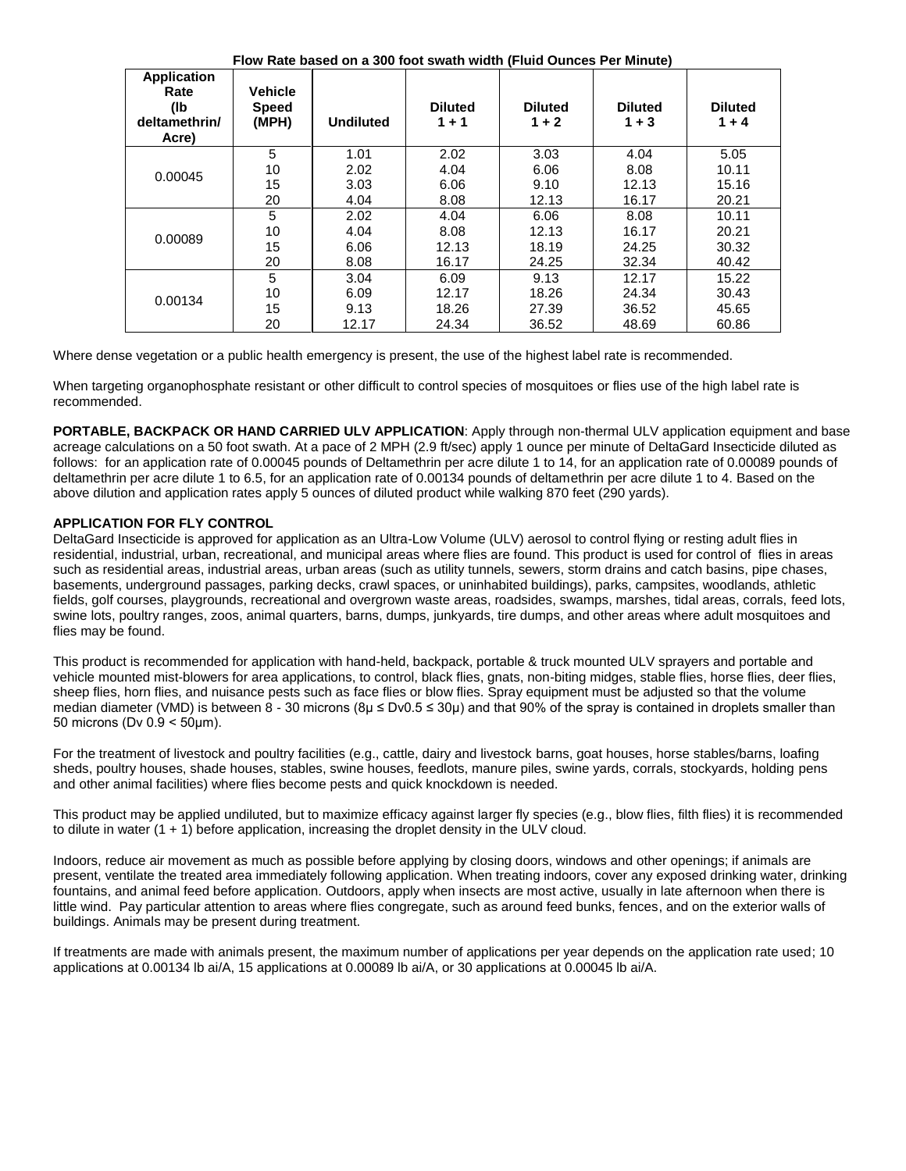**Flow Rate based on a 300 foot swath width (Fluid Ounces Per Minute)**

| <b>Application</b><br>Rate<br>(lb<br>deltamethrin/<br>Acre) | <b>Vehicle</b><br><b>Speed</b><br>(MPH) | <b>Undiluted</b> | <b>Diluted</b><br>$1 + 1$ | <b>Diluted</b><br>$1 + 2$ | <b>Diluted</b><br>$1 + 3$ | <b>Diluted</b><br>$1 + 4$ |
|-------------------------------------------------------------|-----------------------------------------|------------------|---------------------------|---------------------------|---------------------------|---------------------------|
| 0.00045                                                     | 5                                       | 1.01             | 2.02                      | 3.03                      | 4.04                      | 5.05                      |
|                                                             | 10                                      | 2.02             | 4.04                      | 6.06                      | 8.08                      | 10.11                     |
|                                                             | 15                                      | 3.03             | 6.06                      | 9.10                      | 12.13                     | 15.16                     |
|                                                             | 20                                      | 4.04             | 8.08                      | 12.13                     | 16.17                     | 20.21                     |
| 0.00089                                                     | 5                                       | 2.02             | 4.04                      | 6.06                      | 8.08                      | 10.11                     |
|                                                             | 10                                      | 4.04             | 8.08                      | 12.13                     | 16.17                     | 20.21                     |
|                                                             | 15                                      | 6.06             | 12.13                     | 18.19                     | 24.25                     | 30.32                     |
|                                                             | 20                                      | 8.08             | 16.17                     | 24.25                     | 32.34                     | 40.42                     |
| 0.00134                                                     | 5                                       | 3.04             | 6.09                      | 9.13                      | 12.17                     | 15.22                     |
|                                                             | 10                                      | 6.09             | 12.17                     | 18.26                     | 24.34                     | 30.43                     |
|                                                             | 15                                      | 9.13             | 18.26                     | 27.39                     | 36.52                     | 45.65                     |
|                                                             | 20                                      | 12.17            | 24.34                     | 36.52                     | 48.69                     | 60.86                     |

Where dense vegetation or a public health emergency is present, the use of the highest label rate is recommended.

When targeting organophosphate resistant or other difficult to control species of mosquitoes or flies use of the high label rate is recommended.

**PORTABLE, BACKPACK OR HAND CARRIED ULV APPLICATION**: Apply through non-thermal ULV application equipment and base acreage calculations on a 50 foot swath. At a pace of 2 MPH (2.9 ft/sec) apply 1 ounce per minute of DeltaGard Insecticide diluted as follows: for an application rate of 0.00045 pounds of Deltamethrin per acre dilute 1 to 14, for an application rate of 0.00089 pounds of deltamethrin per acre dilute 1 to 6.5, for an application rate of 0.00134 pounds of deltamethrin per acre dilute 1 to 4. Based on the above dilution and application rates apply 5 ounces of diluted product while walking 870 feet (290 yards).

## **APPLICATION FOR FLY CONTROL**

DeltaGard Insecticide is approved for application as an Ultra-Low Volume (ULV) aerosol to control flying or resting adult flies in residential, industrial, urban, recreational, and municipal areas where flies are found. This product is used for control of flies in areas such as residential areas, industrial areas, urban areas (such as utility tunnels, sewers, storm drains and catch basins, pipe chases, basements, underground passages, parking decks, crawl spaces, or uninhabited buildings), parks, campsites, woodlands, athletic fields, golf courses, playgrounds, recreational and overgrown waste areas, roadsides, swamps, marshes, tidal areas, corrals, feed lots, swine lots, poultry ranges, zoos, animal quarters, barns, dumps, junkyards, tire dumps, and other areas where adult mosquitoes and flies may be found.

This product is recommended for application with hand-held, backpack, portable & truck mounted ULV sprayers and portable and vehicle mounted mist-blowers for area applications, to control, black flies, gnats, non-biting midges, stable flies, horse flies, deer flies, sheep flies, horn flies, and nuisance pests such as face flies or blow flies. Spray equipment must be adjusted so that the volume median diameter (VMD) is between 8 - 30 microns ( $8\mu \le Dv0.5 \le 30\mu$ ) and that 90% of the spray is contained in droplets smaller than 50 microns (Dv 0.9 < 50μm).

For the treatment of livestock and poultry facilities (e.g., cattle, dairy and livestock barns, goat houses, horse stables/barns, loafing sheds, poultry houses, shade houses, stables, swine houses, feedlots, manure piles, swine yards, corrals, stockyards, holding pens and other animal facilities) where flies become pests and quick knockdown is needed.

This product may be applied undiluted, but to maximize efficacy against larger fly species (e.g., blow flies, filth flies) it is recommended to dilute in water  $(1 + 1)$  before application, increasing the droplet density in the ULV cloud.

Indoors, reduce air movement as much as possible before applying by closing doors, windows and other openings; if animals are present, ventilate the treated area immediately following application. When treating indoors, cover any exposed drinking water, drinking fountains, and animal feed before application. Outdoors, apply when insects are most active, usually in late afternoon when there is little wind. Pay particular attention to areas where flies congregate, such as around feed bunks, fences, and on the exterior walls of buildings. Animals may be present during treatment.

If treatments are made with animals present, the maximum number of applications per year depends on the application rate used; 10 applications at 0.00134 lb ai/A, 15 applications at 0.00089 lb ai/A, or 30 applications at 0.00045 lb ai/A.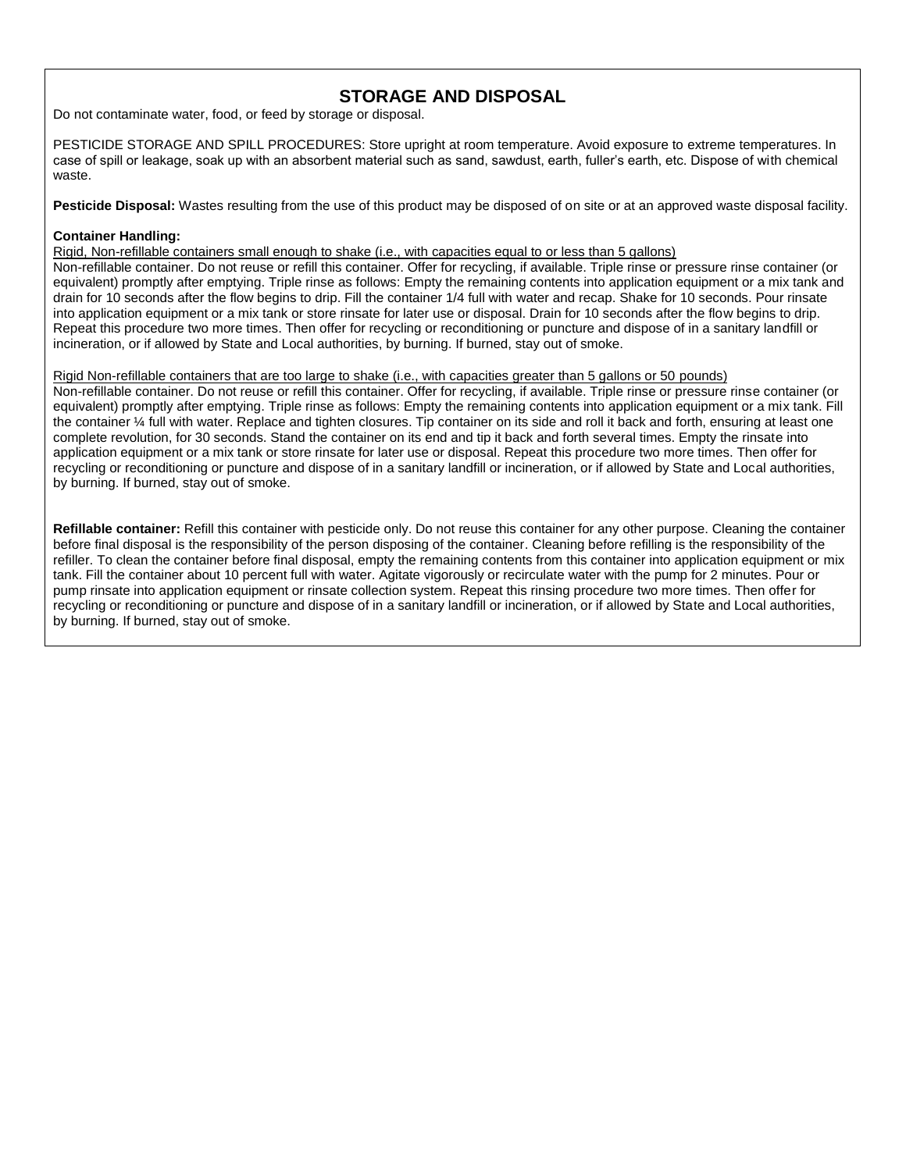# **STORAGE AND DISPOSAL**

Do not contaminate water, food, or feed by storage or disposal.

PESTICIDE STORAGE AND SPILL PROCEDURES: Store upright at room temperature. Avoid exposure to extreme temperatures. In case of spill or leakage, soak up with an absorbent material such as sand, sawdust, earth, fuller's earth, etc. Dispose of with chemical waste.

**Pesticide Disposal:** Wastes resulting from the use of this product may be disposed of on site or at an approved waste disposal facility.

#### **Container Handling:**

Rigid, Non-refillable containers small enough to shake (i.e., with capacities equal to or less than 5 gallons)

Non-refillable container. Do not reuse or refill this container. Offer for recycling, if available. Triple rinse or pressure rinse container (or equivalent) promptly after emptying. Triple rinse as follows: Empty the remaining contents into application equipment or a mix tank and drain for 10 seconds after the flow begins to drip. Fill the container 1/4 full with water and recap. Shake for 10 seconds. Pour rinsate into application equipment or a mix tank or store rinsate for later use or disposal. Drain for 10 seconds after the flow begins to drip. Repeat this procedure two more times. Then offer for recycling or reconditioning or puncture and dispose of in a sanitary landfill or incineration, or if allowed by State and Local authorities, by burning. If burned, stay out of smoke.

#### Rigid Non-refillable containers that are too large to shake (i.e., with capacities greater than 5 gallons or 50 pounds)

Non-refillable container. Do not reuse or refill this container. Offer for recycling, if available. Triple rinse or pressure rinse container (or equivalent) promptly after emptying. Triple rinse as follows: Empty the remaining contents into application equipment or a mix tank. Fill the container ¼ full with water. Replace and tighten closures. Tip container on its side and roll it back and forth, ensuring at least one complete revolution, for 30 seconds. Stand the container on its end and tip it back and forth several times. Empty the rinsate into application equipment or a mix tank or store rinsate for later use or disposal. Repeat this procedure two more times. Then offer for recycling or reconditioning or puncture and dispose of in a sanitary landfill or incineration, or if allowed by State and Local authorities, by burning. If burned, stay out of smoke.

**Refillable container:** Refill this container with pesticide only. Do not reuse this container for any other purpose. Cleaning the container before final disposal is the responsibility of the person disposing of the container. Cleaning before refilling is the responsibility of the refiller. To clean the container before final disposal, empty the remaining contents from this container into application equipment or mix tank. Fill the container about 10 percent full with water. Agitate vigorously or recirculate water with the pump for 2 minutes. Pour or pump rinsate into application equipment or rinsate collection system. Repeat this rinsing procedure two more times. Then offer for recycling or reconditioning or puncture and dispose of in a sanitary landfill or incineration, or if allowed by State and Local authorities, by burning. If burned, stay out of smoke.